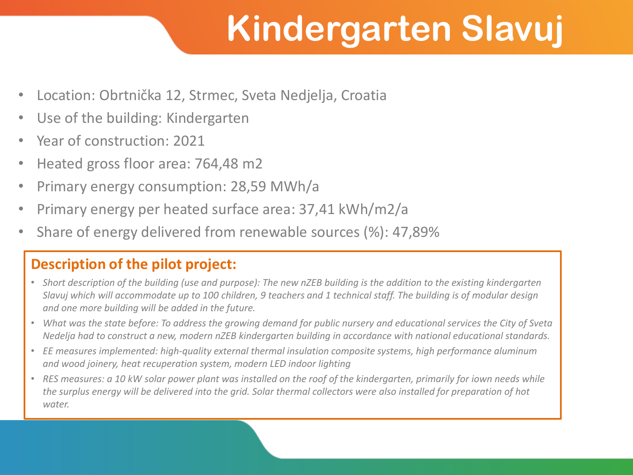# **Kindergarten Slavuj**

- Location: Obrtnička 12, Strmec, Sveta Nedjelja, Croatia
- Use of the building: Kindergarten
- Year of construction: 2021
- Heated gross floor area: 764,48 m2
- Primary energy consumption: 28,59 MWh/a
- Primary energy per heated surface area: 37,41 kWh/m2/a
- Share of energy delivered from renewable sources (%): 47,89%

#### **Description of the pilot project:**

- *Short description of the building (use and purpose): The new nZEB building is the addition to the existing kindergarten Slavuj which will accommodate up to 100 children, 9 teachers and 1 technical staff. The building is of modular design and one more building will be added in the future.*
- *What was the state before: To address the growing demand for public nursery and educational services the City of Sveta Nedelja had to construct a new, modern nZEB kindergarten building in accordance with national educational standards.*
- *EE measures implemented: high-quality external thermal insulation composite systems, high performance aluminum and wood joinery, heat recuperation system, modern LED indoor lighting*
- *RES measures: a 10 kW solar power plant was installed on the roof of the kindergarten, primarily for iown needs while the surplus energy will be delivered into the grid. Solar thermal collectors were also installed for preparation of hot water.*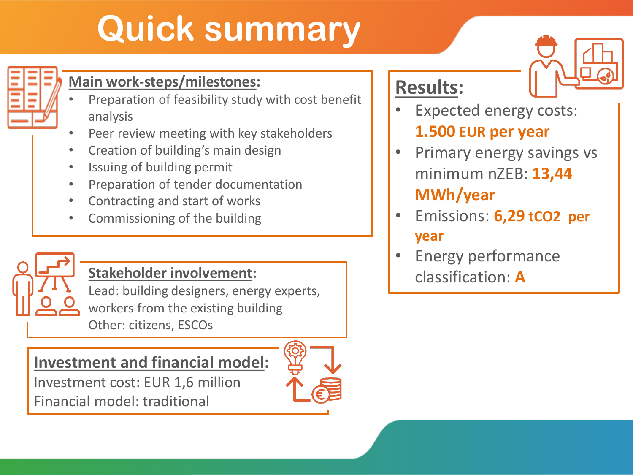# **Quick summary**



### **Main work-steps/milestones:**

- Preparation of feasibility study with cost benefit analysis
- Peer review meeting with key stakeholders
- Creation of building's main design
- Issuing of building permit
- Preparation of tender documentation
- Contracting and start of works
- Commissioning of the building



### **Stakeholder involvement:**

Lead: building designers, energy experts, workers from the existing building Other: citizens, ESCOs

### **Investment and financial model:**

Investment cost: EUR 1,6 million Financial model: traditional



## **Results:**

- Expected energy costs: **1.500 EUR per year**
- Primary energy savings vs minimum nZEB: **13,44 MWh/year**
- Emissions: **6,29 tCO2 per year**
- Energy performance classification: **A**